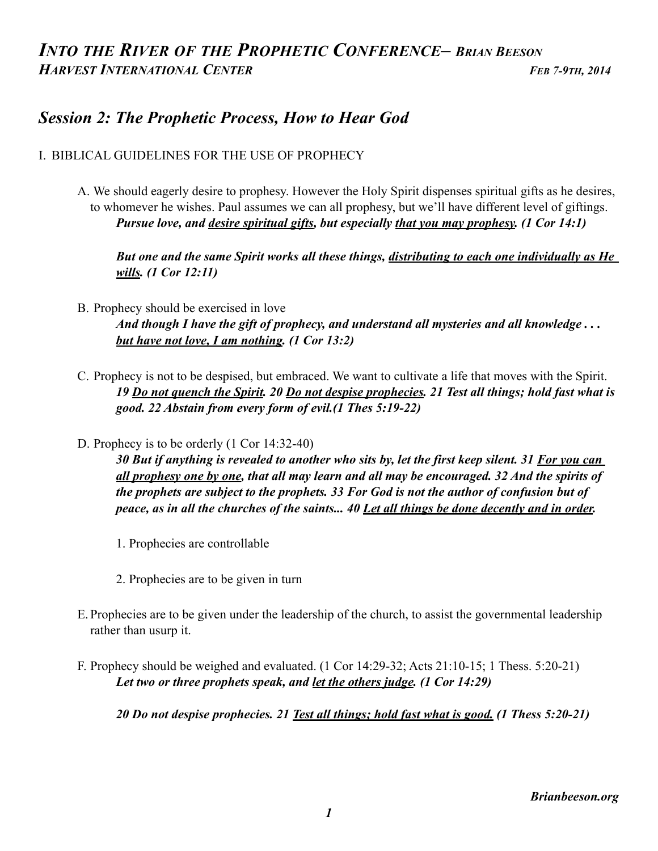## *INTO THE RIVER OF THE PROPHETIC CONFERENCE– BRIAN BEESON HARVEST INTERNATIONAL CENTER* FEB 7-9TH, 2014

## *Session 2: The Prophetic Process, How to Hear God*

#### I. BIBLICAL GUIDELINES FOR THE USE OF PROPHECY

A. We should eagerly desire to prophesy. However the Holy Spirit dispenses spiritual gifts as he desires, to whomever he wishes. Paul assumes we can all prophesy, but we'll have different level of giftings.  *Pursue love, and desire spiritual gifts, but especially that you may prophesy. (1 Cor 14:1)* 

 *But one and the same Spirit works all these things, distributing to each one individually as He wills. (1 Cor 12:11)* 

- B. Prophecy should be exercised in love  *And though I have the gift of prophecy, and understand all mysteries and all knowledge . . . but have not love, I am nothing. (1 Cor 13:2)*
- C. Prophecy is not to be despised, but embraced. We want to cultivate a life that moves with the Spirit.  *19 Do not quench the Spirit. 20 Do not despise prophecies. 21 Test all things; hold fast what is good. 22 Abstain from every form of evil.(1 Thes 5:19-22)*
- D. Prophecy is to be orderly (1 Cor 14:32-40)

 *30 But if anything is revealed to another who sits by, let the first keep silent. 31 For you can all prophesy one by one, that all may learn and all may be encouraged. 32 And the spirits of the prophets are subject to the prophets. 33 For God is not the author of confusion but of peace, as in all the churches of the saints... 40 Let all things be done decently and in order.* 

- 1. Prophecies are controllable
- 2. Prophecies are to be given in turn
- E. Prophecies are to be given under the leadership of the church, to assist the governmental leadership rather than usurp it.
- F. Prophecy should be weighed and evaluated. (1 Cor 14:29-32; Acts 21:10-15; 1 Thess. 5:20-21)  *Let two or three prophets speak, and let the others judge. (1 Cor 14:29)*

 *20 Do not despise prophecies. 21 Test all things; hold fast what is good. (1 Thess 5:20-21)*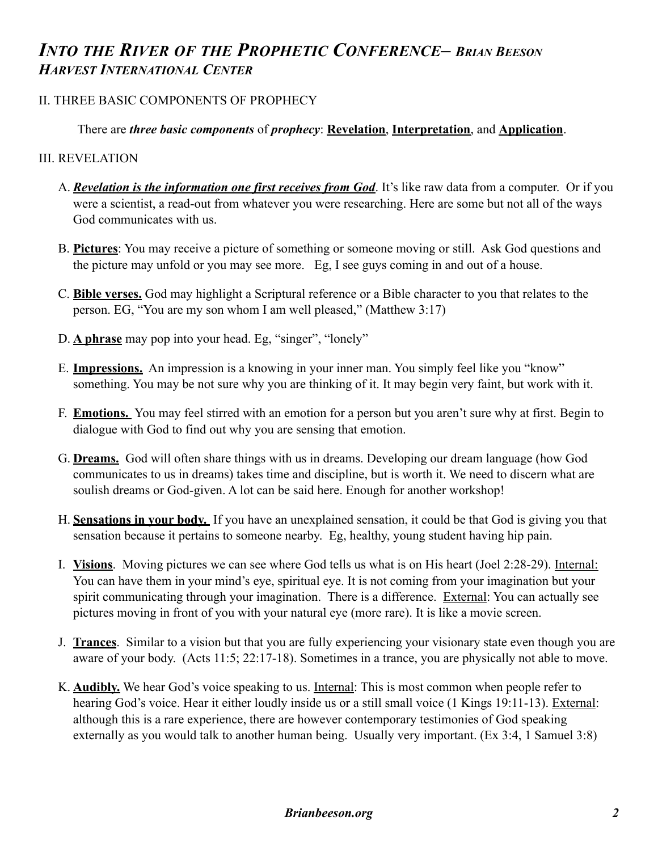## *INTO THE RIVER OF THE PROPHETIC CONFERENCE– BRIAN BEESON HARVEST INTERNATIONAL CENTER*

### II. THREE BASIC COMPONENTS OF PROPHECY

### There are *three basic components* of *prophecy*: **Revelation**, **Interpretation**, and **Application**.

### III. REVELATION

- A. *Revelation is the information one first receives from God*. It's like raw data from a computer. Or if you were a scientist, a read-out from whatever you were researching. Here are some but not all of the ways God communicates with us.
- B. **Pictures**: You may receive a picture of something or someone moving or still. Ask God questions and the picture may unfold or you may see more. Eg, I see guys coming in and out of a house.
- C. **Bible verses.** God may highlight a Scriptural reference or a Bible character to you that relates to the person. EG, "You are my son whom I am well pleased," (Matthew 3:17)
- D. **A phrase** may pop into your head. Eg, "singer", "lonely"
- E. **Impressions.** An impression is a knowing in your inner man. You simply feel like you "know" something. You may be not sure why you are thinking of it. It may begin very faint, but work with it.
- F. **Emotions.** You may feel stirred with an emotion for a person but you aren't sure why at first. Begin to dialogue with God to find out why you are sensing that emotion.
- G. **Dreams.** God will often share things with us in dreams. Developing our dream language (how God communicates to us in dreams) takes time and discipline, but is worth it. We need to discern what are soulish dreams or God-given. A lot can be said here. Enough for another workshop!
- H. **Sensations in your body.** If you have an unexplained sensation, it could be that God is giving you that sensation because it pertains to someone nearby. Eg, healthy, young student having hip pain.
- I. **Visions**. Moving pictures we can see where God tells us what is on His heart (Joel 2:28-29). Internal: You can have them in your mind's eye, spiritual eye. It is not coming from your imagination but your spirit communicating through your imagination. There is a difference. External: You can actually see pictures moving in front of you with your natural eye (more rare). It is like a movie screen.
- J. **Trances**. Similar to a vision but that you are fully experiencing your visionary state even though you are aware of your body. (Acts 11:5; 22:17-18). Sometimes in a trance, you are physically not able to move.
- K. **Audibly.** We hear God's voice speaking to us. Internal: This is most common when people refer to hearing God's voice. Hear it either loudly inside us or a still small voice (1 Kings 19:11-13). External: although this is a rare experience, there are however contemporary testimonies of God speaking externally as you would talk to another human being. Usually very important. (Ex 3:4, 1 Samuel 3:8)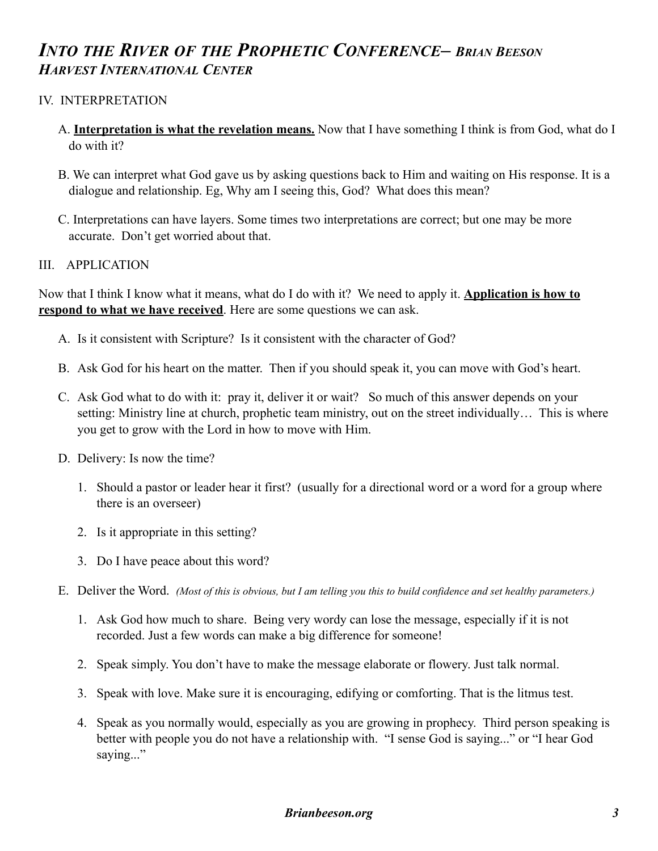## *INTO THE RIVER OF THE PROPHETIC CONFERENCE– BRIAN BEESON HARVEST INTERNATIONAL CENTER*

### IV. INTERPRETATION

- A. **Interpretation is what the revelation means.** Now that I have something I think is from God, what do I do with it?
- B. We can interpret what God gave us by asking questions back to Him and waiting on His response. It is a dialogue and relationship. Eg, Why am I seeing this, God? What does this mean?
- C. Interpretations can have layers. Some times two interpretations are correct; but one may be more accurate. Don't get worried about that.

### III. APPLICATION

Now that I think I know what it means, what do I do with it? We need to apply it. **Application is how to respond to what we have received**. Here are some questions we can ask.

- A. Is it consistent with Scripture? Is it consistent with the character of God?
- B. Ask God for his heart on the matter. Then if you should speak it, you can move with God's heart.
- C. Ask God what to do with it: pray it, deliver it or wait? So much of this answer depends on your setting: Ministry line at church, prophetic team ministry, out on the street individually... This is where you get to grow with the Lord in how to move with Him.
- D. Delivery: Is now the time?
	- 1. Should a pastor or leader hear it first? (usually for a directional word or a word for a group where there is an overseer)
	- 2. Is it appropriate in this setting?
	- 3. Do I have peace about this word?
- E. Deliver the Word. *(Most of this is obvious, but I am telling you this to build confidence and set healthy parameters.)*
	- 1. Ask God how much to share. Being very wordy can lose the message, especially if it is not recorded. Just a few words can make a big difference for someone!
	- 2. Speak simply. You don't have to make the message elaborate or flowery. Just talk normal.
	- 3. Speak with love. Make sure it is encouraging, edifying or comforting. That is the litmus test.
	- 4. Speak as you normally would, especially as you are growing in prophecy. Third person speaking is better with people you do not have a relationship with. "I sense God is saying..." or "I hear God saying..."

### *Brianbeeson.org 3*